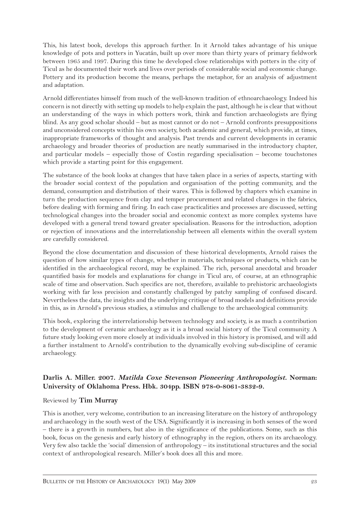This, his latest book, develops this approach further. In it Arnold takes advantage of his unique knowledge of pots and potters in Yucatán, built up over more than thirty years of primary fieldwork between 1965 and 1997. During this time he developed close relationships with potters in the city of Ticul as he documented their work and lives over periods of considerable social and economic change. Pottery and its production become the means, perhaps the metaphor, for an analysis of adjustment and adaptation.

Arnold differentiates himself from much of the well-known tradition of ethnoarchaeology. Indeed his concern is not directly with setting up models to help explain the past, although he is clear that without an understanding of the ways in which potters work, think and function archaeologists are flying blind. As any good scholar should – but as most cannot or do not – Arnold confronts presuppositions and unconsidered concepts within his own society, both academic and general, which provide, at times, inappropriate frameworks of thought and analysis. Past trends and current developments in ceramic archaeology and broader theories of production are neatly summarised in the introductory chapter, and particular models – especially those of Costin regarding specialisation – become touchstones which provide a starting point for this engagement.

The substance of the book looks at changes that have taken place in a series of aspects, starting with the broader social context of the population and organisation of the potting community, and the demand, consumption and distribution of their wares. This is followed by chapters which examine in turn the production sequence from clay and temper procurement and related changes in the fabrics, before dealing with forming and firing. In each case practicalities and processes are discussed, setting technological changes into the broader social and economic context as more complex systems have developed with a general trend toward greater specialisation. Reasons for the introduction, adoption or rejection of innovations and the interrelationship between all elements within the overall system are carefully considered.

Beyond the close documentation and discussion of these historical developments, Arnold raises the question of how similar types of change, whether in materials, techniques or products, which can be identified in the archaeological record, may be explained. The rich, personal anecdotal and broader quantified basis for models and explanations for change in Ticul are, of course, at an ethnographic scale of time and observation. Such specifics are not, therefore, available to prehistoric archaeologists working with far less precision and constantly challenged by patchy sampling of confused discard. Nevertheless the data, the insights and the underlying critique of broad models and definitions provide in this, as in Arnold's previous studies, a stimulus and challenge to the archaeological community.

This book, exploring the interrelationship between technology and society, is as much a contribution to the development of ceramic archaeology as it is a broad social history of the Ticul community. A future study looking even more closely at individuals involved in this history is promised, and will add a further instalment to Arnold's contribution to the dynamically evolving sub-discipline of ceramic archaeology.

## doi: 10.5334/bha.19106

## **Darlis A. Miller. 2007. Matilda Coxe Stevenson Pioneering Anthropologist. Norman: University of Oklahoma Press. Hbk. 304pp. ISBN 978-0-8061-3832-9.**

## Reviewed by **Tim Murray**

This is another, very welcome, contribution to an increasing literature on the history of anthropology and archaeology in the south west of the USA. Significantly it is increasing in both senses of the word – there is a growth in numbers, but also in the significance of the publications. Some, such as this book, focus on the genesis and early history of ethnography in the region, others on its archaeology. Very few also tackle the 'social' dimension of anthropology – its institutional structures and the social context of anthropological research. Miller's book does all this and more.